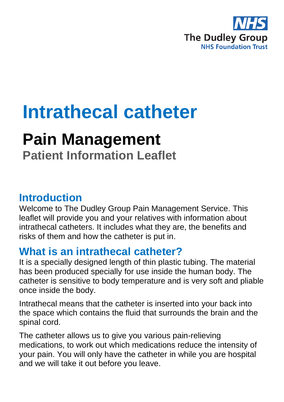

# **Intrathecal catheter**

## **Pain Management**

**Patient Information Leaflet**

#### **Introduction**

Welcome to The Dudley Group Pain Management Service. This leaflet will provide you and your relatives with information about intrathecal catheters. It includes what they are, the benefits and risks of them and how the catheter is put in.

### **What is an intrathecal catheter?**

It is a specially designed length of thin plastic tubing. The material has been produced specially for use inside the human body. The catheter is sensitive to body temperature and is very soft and pliable once inside the body.

Intrathecal means that the catheter is inserted into your back into the space which contains the fluid that surrounds the brain and the spinal cord.

The catheter allows us to give you various pain-relieving medications, to work out which medications reduce the intensity of your pain. You will only have the catheter in while you are hospital and we will take it out before you leave.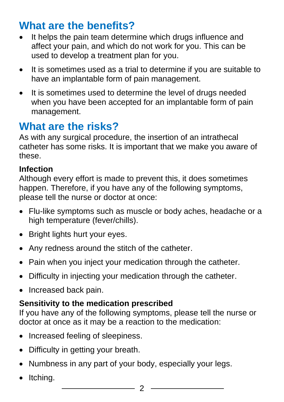## **What are the benefits?**

- It helps the pain team determine which drugs influence and affect your pain, and which do not work for you. This can be used to develop a treatment plan for you.
- It is sometimes used as a trial to determine if you are suitable to have an implantable form of pain management.
- It is sometimes used to determine the level of drugs needed when you have been accepted for an implantable form of pain management.

#### **What are the risks?**

As with any surgical procedure, the insertion of an intrathecal catheter has some risks. It is important that we make you aware of these.

#### **Infection**

Although every effort is made to prevent this, it does sometimes happen. Therefore, if you have any of the following symptoms, please tell the nurse or doctor at once:

- Flu-like symptoms such as muscle or body aches, headache or a high temperature (fever/chills).
- Bright lights hurt your eyes.
- Any redness around the stitch of the catheter.
- Pain when you inject your medication through the catheter.
- Difficulty in injecting your medication through the catheter.
- Increased back pain.

#### **Sensitivity to the medication prescribed**

If you have any of the following symptoms, please tell the nurse or doctor at once as it may be a reaction to the medication:

- Increased feeling of sleepiness.
- Difficulty in getting your breath.
- Numbness in any part of your body, especially your legs.
- Itching.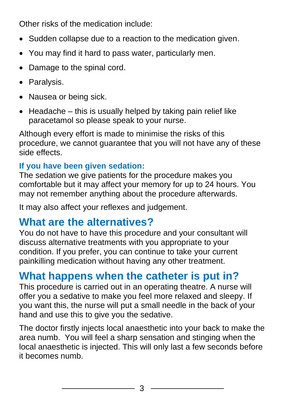Other risks of the medication include:

- Sudden collapse due to a reaction to the medication given.
- You may find it hard to pass water, particularly men.
- Damage to the spinal cord.
- Paralysis.
- Nausea or being sick.
- Headache this is usually helped by taking pain relief like paracetamol so please speak to your nurse.

Although every effort is made to minimise the risks of this procedure, we cannot guarantee that you will not have any of these side effects.

#### **If you have been given sedation:**

The sedation we give patients for the procedure makes you comfortable but it may affect your memory for up to 24 hours. You may not remember anything about the procedure afterwards.

It may also affect your reflexes and judgement.

## **What are the alternatives?**

You do not have to have this procedure and your consultant will discuss alternative treatments with you appropriate to your condition. If you prefer, you can continue to take your current painkilling medication without having any other treatment.

## **What happens when the catheter is put in?**

This procedure is carried out in an operating theatre. A nurse will offer you a sedative to make you feel more relaxed and sleepy. If you want this, the nurse will put a small needle in the back of your hand and use this to give you the sedative.

The doctor firstly injects local anaesthetic into your back to make the area numb. You will feel a sharp sensation and stinging when the local anaesthetic is injected. This will only last a few seconds before it becomes numb.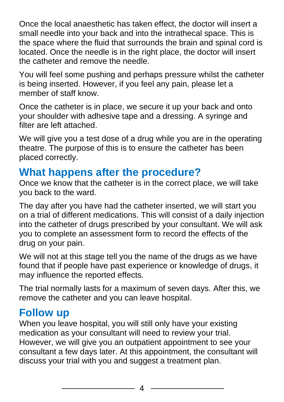Once the local anaesthetic has taken effect, the doctor will insert a small needle into your back and into the intrathecal space. This is the space where the fluid that surrounds the brain and spinal cord is located. Once the needle is in the right place, the doctor will insert the catheter and remove the needle.

You will feel some pushing and perhaps pressure whilst the catheter is being inserted. However, if you feel any pain, please let a member of staff know.

Once the catheter is in place, we secure it up your back and onto your shoulder with adhesive tape and a dressing. A syringe and filter are left attached.

We will give you a test dose of a drug while you are in the operating theatre. The purpose of this is to ensure the catheter has been placed correctly.

#### **What happens after the procedure?**

Once we know that the catheter is in the correct place, we will take you back to the ward.

The day after you have had the catheter inserted, we will start you on a trial of different medications. This will consist of a daily injection into the catheter of drugs prescribed by your consultant. We will ask you to complete an assessment form to record the effects of the drug on your pain.

We will not at this stage tell you the name of the drugs as we have found that if people have past experience or knowledge of drugs, it may influence the reported effects.

The trial normally lasts for a maximum of seven days. After this, we remove the catheter and you can leave hospital.

#### **Follow up**

When you leave hospital, you will still only have your existing medication as your consultant will need to review your trial. However, we will give you an outpatient appointment to see your consultant a few days later. At this appointment, the consultant will discuss your trial with you and suggest a treatment plan.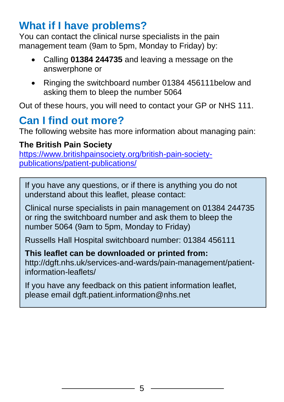## **What if I have problems?**

You can contact the clinical nurse specialists in the pain management team (9am to 5pm, Monday to Friday) by:

- Calling **01384 244735** and leaving a message on the answerphone or
- Ringing the switchboard number 01384 456111below and asking them to bleep the number 5064

Out of these hours, you will need to contact your GP or NHS 111.

## **Can I find out more?**

The following website has more information about managing pain:

#### **The British Pain Society**

[https://www.britishpainsociety.org/british-pain-society](https://www.britishpainsociety.org/british-pain-society-publications/patient-publications/)[publications/patient-publications/](https://www.britishpainsociety.org/british-pain-society-publications/patient-publications/)

If you have any questions, or if there is anything you do not understand about this leaflet, please contact:

Clinical nurse specialists in pain management on 01384 244735 or ring the switchboard number and ask them to bleep the number 5064 (9am to 5pm, Monday to Friday)

Russells Hall Hospital switchboard number: 01384 456111

#### **This leaflet can be downloaded or printed from:**

http://dgft.nhs.uk/services-and-wards/pain-management/patientinformation-leaflets/

If you have any feedback on this patient information leaflet, please email dgft.patient.information@nhs.net